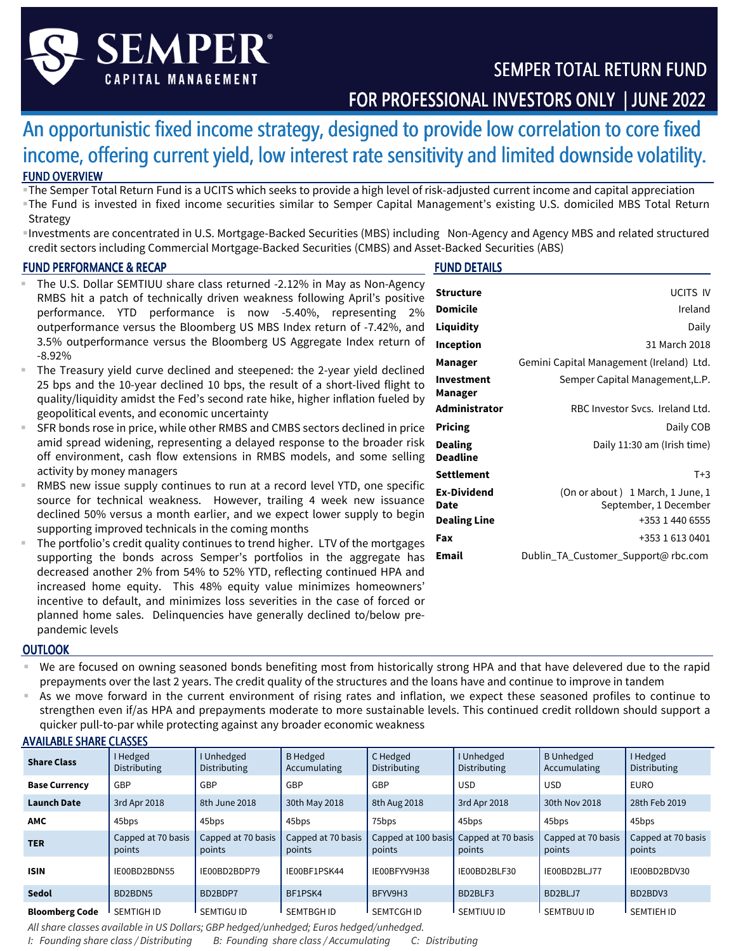

# An opportunistic fixed income strategy, designed to provide low correlation to core fixed income, offering current yield, low interest rate sensitivity and limited downside volatility. FUND OVERVIEW

- The Semper Total Return Fund is a UCITS which seeks to provide a high level of risk-adjusted current income and capital appreciation The Fund is invested in fixed income securities similar to Semper Capital Management's existing U.S. domiciled MBS Total Return Strategy
- Investments are concentrated in U.S. Mortgage-Backed Securities (MBS) including Non-Agency and Agency MBS and related structured credit sectors including Commercial Mortgage-Backed Securities (CMBS) and Asset-Backed Securities (ABS)

### FUND PERFORMANCE & RECAP

## FUND DETAILS

- The U.S. Dollar SEMTIUU share class returned -2.12% in May as Non-Agency RMBS hit a patch of technically driven weakness following April's positive performance. YTD performance is now -5.40%, representing 2% outperformance versus the Bloomberg US MBS Index return of -7.42%, and 3.5% outperformance versus the Bloomberg US Aggregate Index return of -8.92%
- The Treasury yield curve declined and steepened: the 2-year yield declined 25 bps and the 10-year declined 10 bps, the result of a short-lived flight to quality/liquidity amidst the Fed's second rate hike, higher inflation fueled by geopolitical events, and economic uncertainty
- SFR bonds rose in price, while other RMBS and CMBS sectors declined in price amid spread widening, representing a delayed response to the broader risk off environment, cash flow extensions in RMBS models, and some selling activity by money managers
- RMBS new issue supply continues to run at a record level YTD, one specific source for technical weakness. However, trailing 4 week new issuance declined 50% versus a month earlier, and we expect lower supply to begin supporting improved technicals in the coming months
- The portfolio's credit quality continues to trend higher. LTV of the mortgages supporting the bonds across Semper's portfolios in the aggregate has decreased another 2% from 54% to 52% YTD, reflecting continued HPA and increased home equity. This 48% equity value minimizes homeowners' incentive to default, and minimizes loss severities in the case of forced or planned home sales. Delinquencies have generally declined to/below prepandemic levels

| Structure                           | <b>UCITS IV</b>                                                              |
|-------------------------------------|------------------------------------------------------------------------------|
| Domicile                            | Ireland                                                                      |
| Liquidity                           | Daily                                                                        |
| Inception                           | 31 March 2018                                                                |
| Manager                             | Gemini Capital Management (Ireland) Ltd.                                     |
| Investment<br>Manager               | Semper Capital Management, L.P.                                              |
| Administrator                       | RBC Investor Sycs. Ireland Ltd.                                              |
| Pricing                             | Daily COB                                                                    |
| Dealing<br>Deadline                 | Daily 11:30 am (Irish time)                                                  |
| Settlement                          | $T+3$                                                                        |
| Ex-Dividend<br>Date<br>Dealing Line | (On or about) 1 March, 1 June, 1<br>September, 1 December<br>+353 1 440 6555 |
| Fax                                 | +353 1 613 0401                                                              |
| Email                               | Dublin_TA_Customer_Support@rbc.com                                           |

### **OUTLOOK**

- We are focused on owning seasoned bonds benefiting most from historically strong HPA and that have delevered due to the rapid prepayments over the last 2 years. The credit quality of the structures and the loans have and continue to improve in tandem
- As we move forward in the current environment of rising rates and inflation, we expect these seasoned profiles to continue to strengthen even if/as HPA and prepayments moderate to more sustainable levels. This continued credit rolldown should support a quicker pull-to-par while protecting against any broader economic weakness

|                                |                                 | quicker pull-to-par while protecting against any proader economic weakness                           |                                 |                               |                              |                                   |                              |
|--------------------------------|---------------------------------|------------------------------------------------------------------------------------------------------|---------------------------------|-------------------------------|------------------------------|-----------------------------------|------------------------------|
| <b>AVAILABLE SHARE CLASSES</b> |                                 |                                                                                                      |                                 |                               |                              |                                   |                              |
| <b>Share Class</b>             | I Hedged<br><b>Distributing</b> | I Unhedged<br>Distributing                                                                           | <b>B</b> Hedged<br>Accumulating | C Hedged<br>Distributing      | I Unhedged<br>Distributing   | <b>B</b> Unhedged<br>Accumulating | I Hedged<br>Distributing     |
| <b>Base Currency</b>           | GBP                             | GBP                                                                                                  | GBP                             | GBP                           | <b>USD</b>                   | <b>USD</b>                        | <b>EURO</b>                  |
| <b>Launch Date</b>             | 3rd Apr 2018                    | 8th June 2018                                                                                        | 30th May 2018                   | 8th Aug 2018                  | 3rd Apr 2018                 | 30th Nov 2018                     | 28th Feb 2019                |
| <b>AMC</b>                     | 45bps                           | 45bps                                                                                                | 45bps                           | 75bps                         | 45bps                        | 45bps                             | 45bps                        |
| <b>TER</b>                     | Capped at 70 basis<br>points    | Capped at 70 basis<br>points                                                                         | Capped at 70 basis<br>points    | Capped at 100 basis<br>points | Capped at 70 basis<br>points | Capped at 70 basis<br>points      | Capped at 70 basis<br>points |
| <b>ISIN</b>                    | IE00BD2BDN55                    | IE00BD2BDP79                                                                                         | IE00BF1PSK44                    | IE00BFYV9H38                  | IE00BD2BLF30                 | IE00BD2BLJ77                      | IE00BD2BDV30                 |
| <b>Sedol</b>                   | BD2BDN5                         | BD2BDP7                                                                                              | BF1PSK4                         | BFYV9H3                       | BD2BLF3                      | BD2BLJ7                           | BD2BDV3                      |
| <b>Bloomberg Code</b>          | SEMTIGH ID                      | SEMTIGU ID<br>All share classes available in US Dollars; GBP hedged/unhedged; Euros hedged/unhedged. | SEMTBGH ID                      | <b>SEMTCGHID</b>              | SEMTIUU ID                   | SEMTBUU ID                        | <b>SEMTIEH ID</b>            |

*I: Founding share class / Distributing B: Founding share class / Accumulating C: Distributing*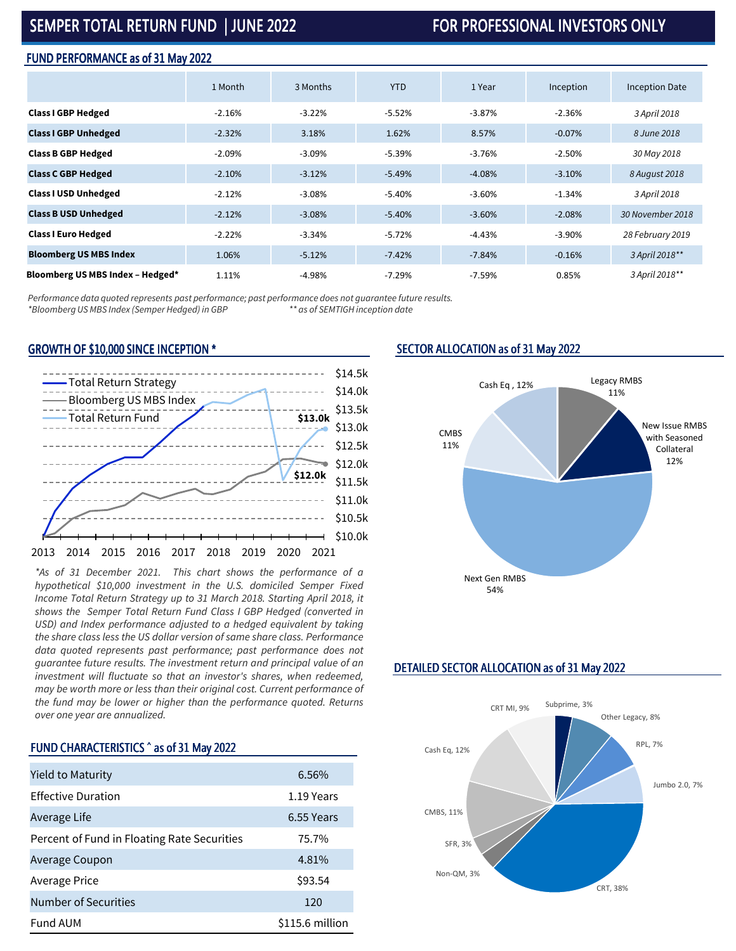# SEMPER TOTAL RETURN FUND | JUNE 2022 SEMPER TOTAL ARTURN FUND | JUNE 2022

#### FUND PERFORMANCE as of 31 May 2022

|                                  | 1 Month  | 3 Months | <b>YTD</b> | 1 Year   | Inception | <b>Inception Date</b> |
|----------------------------------|----------|----------|------------|----------|-----------|-----------------------|
| <b>Class I GBP Hedged</b>        | $-2.16%$ | $-3.22%$ | $-5.52%$   | $-3.87%$ | $-2.36%$  | 3 April 2018          |
| <b>Class I GBP Unhedged</b>      | $-2.32%$ | 3.18%    | 1.62%      | 8.57%    | $-0.07%$  | 8 June 2018           |
| <b>Class B GBP Hedged</b>        | $-2.09%$ | $-3.09%$ | $-5.39%$   | $-3.76%$ | $-2.50%$  | 30 May 2018           |
| <b>Class C GBP Hedged</b>        | $-2.10%$ | $-3.12%$ | $-5.49%$   | $-4.08%$ | $-3.10%$  | 8 August 2018         |
| <b>Class I USD Unhedged</b>      | $-2.12%$ | $-3.08%$ | $-5.40%$   | $-3.60%$ | $-1.34%$  | 3 April 2018          |
| <b>Class B USD Unhedged</b>      | $-2.12%$ | $-3.08%$ | $-5.40%$   | $-3.60%$ | $-2.08%$  | 30 November 2018      |
| <b>Class I Euro Hedged</b>       | $-2.22%$ | $-3.34%$ | $-5.72%$   | $-4.43%$ | $-3.90%$  | 28 February 2019      |
| <b>Bloomberg US MBS Index</b>    | 1.06%    | $-5.12%$ | $-7.42%$   | $-7.84%$ | $-0.16%$  | 3 April 2018**        |
| Bloomberg US MBS Index - Hedged* | 1.11%    | $-4.98%$ | $-7.29%$   | $-7.59%$ | 0.85%     | 3 April 2018**        |

*Performance data quoted represents past performance; past performance does not guarantee future results. \*Bloomberg US MBS Index (Semper Hedged) in GBP* 

#### GROWTH OF \$10,000 SINCE INCEPTION \*



*\*As of 31 December 2021. This chart shows the performance of a hypothetical \$10,000 investment in the U.S. domiciled Semper Fixed Income Total Return Strategy up to 31 March 2018. Starting April 2018, it shows the Semper Total Return Fund Class I GBP Hedged (converted in USD) and Index performance adjusted to a hedged equivalent by taking the share class less the US dollar version of same share class. Performance data quoted represents past performance; past performance does not guarantee future results. The investment return and principal value of an investment will fluctuate so that an investor's shares, when redeemed, may be worth more or less than their original cost. Current performance of the fund may be lower or higher than the performance quoted. Returns over one year are annualized.*

### FUND CHARACTERISTICS ^ as of 31 May 2022

| Yield to Maturity                           | 6.56%           |
|---------------------------------------------|-----------------|
| <b>Effective Duration</b>                   | 1.19 Years      |
| Average Life                                | 6.55 Years      |
| Percent of Fund in Floating Rate Securities | 75.7%           |
| Average Coupon                              | 4.81%           |
| Average Price                               | \$93.54         |
| Number of Securities                        | 120             |
| <b>Fund AUM</b>                             | \$115.6 million |

### SECTOR ALLOCATION as of 31 May 2022



# DETAILED SECTOR ALLOCATION as of 31 May 2022